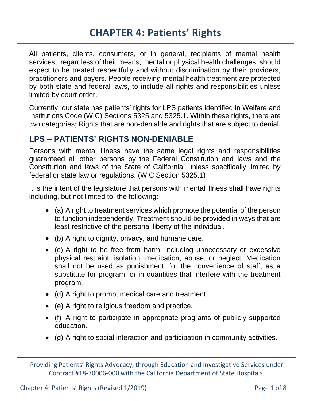All patients, clients, consumers, or in general, recipients of mental health services, regardless of their means, mental or physical health challenges, should expect to be treated respectfully and without discrimination by their providers, practitioners and payers. People receiving mental health treatment are protected by both state and federal laws, to include all rights and responsibilities unless limited by court order.

Currently, our state has patients' rights for LPS patients identified in Welfare and Institutions Code (WIC) Sections 5325 and 5325.1. Within these rights, there are two categories; Rights that are non-deniable and rights that are subject to denial.

## **LPS – PATIENTS' RIGHTS NON-DENIABLE**

Persons with mental illness have the same legal rights and responsibilities guaranteed all other persons by the Federal Constitution and laws and the Constitution and laws of the State of California, unless specifically limited by federal or state law or regulations. (WIC Section 5325.1)

It is the intent of the legislature that persons with mental illness shall have rights including, but not limited to, the following:

- (a) A right to treatment services which promote the potential of the person to function independently. Treatment should be provided in ways that are least restrictive of the personal liberty of the individual.
- (b) A right to dignity, privacy, and humane care.
- (c) A right to be free from harm, including unnecessary or excessive physical restraint, isolation, medication, abuse, or neglect. Medication shall not be used as punishment, for the convenience of staff, as a substitute for program, or in quantities that interfere with the treatment program.
- (d) A right to prompt medical care and treatment.
- (e) A right to religious freedom and practice.
- (f) A right to participate in appropriate programs of publicly supported education.
- (g) A right to social interaction and participation in community activities.

Providing Patients' Rights Advocacy, through Education and Investigative Services under Contract #18-70006-000 with the California Department of State Hospitals.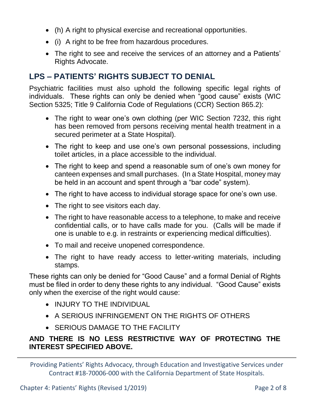- (h) A right to physical exercise and recreational opportunities.
- (i) A right to be free from hazardous procedures.
- The right to see and receive the services of an attorney and a Patients' Rights Advocate.

## **LPS – PATIENTS' RIGHTS SUBJECT TO DENIAL**

Psychiatric facilities must also uphold the following specific legal rights of individuals. These rights can only be denied when "good cause" exists (WIC Section 5325; Title 9 California Code of Regulations (CCR) Section 865.2):

- The right to wear one's own clothing (per WIC Section 7232, this right has been removed from persons receiving mental health treatment in a secured perimeter at a State Hospital).
- The right to keep and use one's own personal possessions, including toilet articles, in a place accessible to the individual.
- The right to keep and spend a reasonable sum of one's own money for canteen expenses and small purchases. (In a State Hospital, money may be held in an account and spent through a "bar code" system).
- The right to have access to individual storage space for one's own use.
- The right to see visitors each day.
- The right to have reasonable access to a telephone, to make and receive confidential calls, or to have calls made for you. (Calls will be made if one is unable to e.g. in restraints or experiencing medical difficulties).
- To mail and receive unopened correspondence.
- The right to have ready access to letter-writing materials, including stamps.

These rights can only be denied for "Good Cause" and a formal Denial of Rights must be filed in order to deny these rights to any individual. "Good Cause" exists only when the exercise of the right would cause:

- INJURY TO THE INDIVIDUAL
- A SERIOUS INFRINGEMENT ON THE RIGHTS OF OTHERS
- **SERIOUS DAMAGE TO THE FACILITY**

### **AND THERE IS NO LESS RESTRICTIVE WAY OF PROTECTING THE INTEREST SPECIFIED ABOVE.**

Providing Patients' Rights Advocacy, through Education and Investigative Services under Contract #18-70006-000 with the California Department of State Hospitals.

Chapter 4: Patients' Rights (Revised 1/2019) Page 2 of 8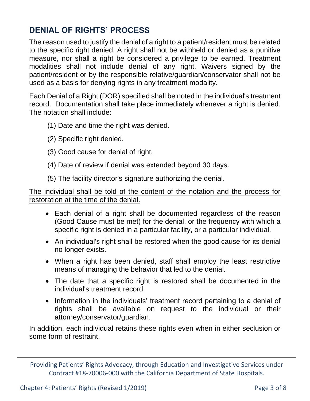# **DENIAL OF RIGHTS' PROCESS**

The reason used to justify the denial of a right to a patient/resident must be related to the specific right denied. A right shall not be withheld or denied as a punitive measure, nor shall a right be considered a privilege to be earned. Treatment modalities shall not include denial of any right. Waivers signed by the patient/resident or by the responsible relative/guardian/conservator shall not be used as a basis for denying rights in any treatment modality.

Each Denial of a Right (DOR) specified shall be noted in the individual's treatment record. Documentation shall take place immediately whenever a right is denied. The notation shall include:

- (1) Date and time the right was denied.
- (2) Specific right denied.
- (3) Good cause for denial of right.
- (4) Date of review if denial was extended beyond 30 days.
- (5) The facility director's signature authorizing the denial.

The individual shall be told of the content of the notation and the process for restoration at the time of the denial.

- Each denial of a right shall be documented regardless of the reason (Good Cause must be met) for the denial, or the frequency with which a specific right is denied in a particular facility, or a particular individual.
- An individual's right shall be restored when the good cause for its denial no longer exists.
- When a right has been denied, staff shall employ the least restrictive means of managing the behavior that led to the denial.
- The date that a specific right is restored shall be documented in the individual's treatment record.
- Information in the individuals' treatment record pertaining to a denial of rights shall be available on request to the individual or their attorney/conservator/guardian.

In addition, each individual retains these rights even when in either seclusion or some form of restraint.

Providing Patients' Rights Advocacy, through Education and Investigative Services under Contract #18-70006-000 with the California Department of State Hospitals.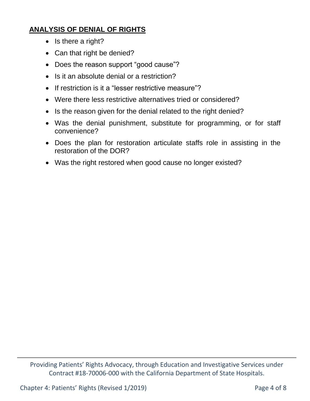## **ANALYSIS OF DENIAL OF RIGHTS**

- $\bullet$  Is there a right?
- Can that right be denied?
- Does the reason support "good cause"?
- Is it an absolute denial or a restriction?
- If restriction is it a "lesser restrictive measure"?
- Were there less restrictive alternatives tried or considered?
- Is the reason given for the denial related to the right denied?
- Was the denial punishment, substitute for programming, or for staff convenience?
- Does the plan for restoration articulate staffs role in assisting in the restoration of the DOR?
- Was the right restored when good cause no longer existed?

Providing Patients' Rights Advocacy, through Education and Investigative Services under Contract #18-70006-000 with the California Department of State Hospitals.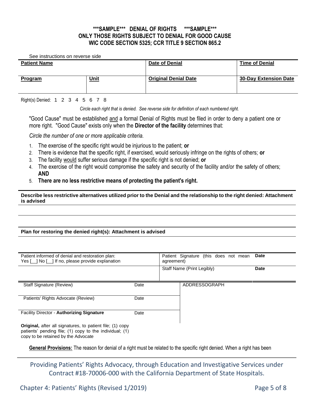#### **\*\*\*SAMPLE\*\*\* DENIAL OF RIGHTS \*\*\*SAMPLE\*\*\* ONLY THOSE RIGHTS SUBJECT TO DENIAL FOR GOOD CAUSE WIC CODE SECTION 5325; CCR TITLE 9 SECTION 865.2**

See instructions on reverse side

| <b>Patient Name</b> |             | <b>Date of Denial</b>       | <b>Time of Denial</b>        |
|---------------------|-------------|-----------------------------|------------------------------|
| <b>Program</b>      | <u>Unit</u> | <b>Original Denial Date</b> | <b>30-Day Extension Date</b> |

Right(s) Denied: 1 2 3 4 5 6 7 8

*Circle each right that is denied. See reverse side for definition of each numbered right.*

"Good Cause" must be established and a formal Denial of Rights must be filed in order to deny a patient one or more right. "Good Cause" exists only when the **Director of the facility** determines that:

*Circle the number of one or more applicable criteria.*

- 1. The exercise of the specific right would be injurious to the patient; **or**
- 2. There is evidence that the specific right, if exercised, would seriously infringe on the rights of others; **or**
- 3. The facility would suffer serious damage if the specific right is not denied; **or**
- 4. The exercise of the right would compromise the safety and security of the facility and/or the safety of others; **AND**
- 5. **There are no less restrictive means of protecting the patient's right.**

**Describe less restrictive alternatives utilized prior to the Denial and the relationship to the right denied: Attachment is advised**

#### **Plan for restoring the denied right(s): Attachment is advised**

| Patient informed of denial and restoration plan:<br>Yes [   No [   ] If no, please provide explanation |      | Patient Signature (this does not mean<br><b>Date</b><br>agreement) |                            |             |
|--------------------------------------------------------------------------------------------------------|------|--------------------------------------------------------------------|----------------------------|-------------|
|                                                                                                        |      |                                                                    | Staff Name (Print Legibly) | <b>Date</b> |
| Staff Signature (Review)                                                                               | Date |                                                                    | ADDRESSOGRAPH              |             |
| Patients' Rights Advocate (Review)                                                                     | Date |                                                                    |                            |             |
| Facility Director - Authorizing Signature                                                              | Date |                                                                    |                            |             |
| <b>Original,</b> after all signatures, to patient file; (1) copy                                       |      |                                                                    |                            |             |

patients' pending file; (1) copy to the individual; (1) copy to be retained by the Advocate

**General Provisions:** The reason for denial of a right must be related to the specific right denied. When a right has been

Providing Patients' Rights Advocacy, through Education and Investigative Services under Contract #18-70006-000 with the California Department of State Hospitals.

Chapter 4: Patients' Rights (Revised 1/2019) Page 5 of 8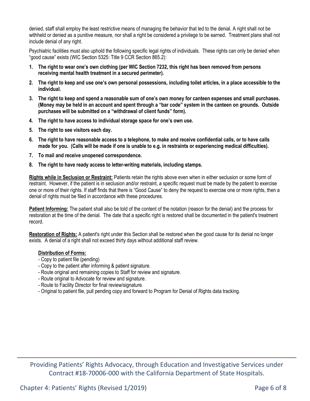denied, staff shall employ the least restrictive means of managing the behavior that led to the denial. A right shall not be withheld or denied as a punitive measure, nor shall a right be considered a privilege to be earned. Treatment plans shall not include denial of any right.

Psychiatric facilities must also uphold the following specific legal rights of individuals. These rights can only be denied when "good cause" exists (WIC Section 5325: Title 9 CCR Section 865.2):

- **1. The right to wear one's own clothing (per WIC Section 7232, this right has been removed from persons receiving mental health treatment in a secured perimeter).**
- **2. The right to keep and use one's own personal possessions, including toilet articles, in a place accessible to the individual.**
- **3. The right to keep and spend a reasonable sum of one's own money for canteen expenses and small purchases. (Money may be held in an account and spent through a "bar code" system in the canteen on grounds. Outside purchases will be submitted on a "withdrawal of client funds" form).**
- **4. The right to have access to individual storage space for one's own use.**
- **5. The right to see visitors each day.**
- **6. The right to have reasonable access to a telephone, to make and receive confidential calls, or to have calls made for you. (Calls will be made if one is unable to e.g. in restraints or experiencing medical difficulties).**
- **7. To mail and receive unopened correspondence.**
- **8. The right to have ready access to letter-writing materials, including stamps.**

**Rights while in Seclusion or Restraint:** Patients retain the rights above even when in either seclusion or some form of restraint. However, if the patient is in seclusion and/or restraint, a specific request must be made by the patient to exercise one or more of their rights. If staff finds that there is "Good Cause" to deny the request to exercise one or more rights, then a denial of rights must be filed in accordance with these procedures.

**Patient Informing:** The patient shall also be told of the content of the notation (reason for the denial) and the process for restoration at the time of the denial. The date that a specific right is restored shall be documented in the patient's treatment record.

**Restoration of Rights:** A patient's right under this Section shall be restored when the good cause for its denial no longer exists. A denial of a right shall not exceed thirty days without additional staff review.

#### **Distribution of Forms:**

- Copy to patient file (pending)
- Copy to the patient after informing & patient signature.
- Route original and remaining copies to Staff for review and signature.
- Route original to Advocate for review and signature.
- Route to Facility Director for final review/signature.
- Original to patient file, pull pending copy and forward to Program for Denial of Rights data tracking.

Providing Patients' Rights Advocacy, through Education and Investigative Services under Contract #18-70006-000 with the California Department of State Hospitals.

Chapter 4: Patients' Rights (Revised 1/2019) Chapter 4: Page 6 of 8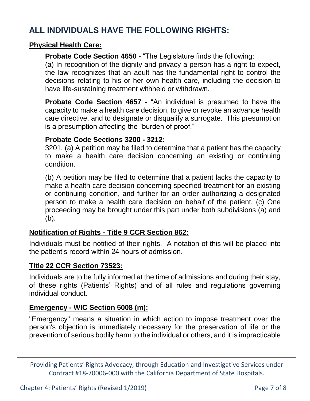# **ALL INDIVIDUALS HAVE THE FOLLOWING RIGHTS:**

### **Physical Health Care:**

**Probate Code Section 4650** - "The Legislature finds the following:

(a) In recognition of the dignity and privacy a person has a right to expect, the law recognizes that an adult has the fundamental right to control the decisions relating to his or her own health care, including the decision to have life-sustaining treatment withheld or withdrawn.

**Probate Code Section 4657** - "An individual is presumed to have the capacity to make a health care decision, to give or revoke an advance health care directive, and to designate or disqualify a surrogate. This presumption is a presumption affecting the "burden of proof."

#### **Probate Code Sections 3200 - 3212:**

3201. (a) A petition may be filed to determine that a patient has the capacity to make a health care decision concerning an existing or continuing condition.

(b) A petition may be filed to determine that a patient lacks the capacity to make a health care decision concerning specified treatment for an existing or continuing condition, and further for an order authorizing a designated person to make a health care decision on behalf of the patient. (c) One proceeding may be brought under this part under both subdivisions (a) and (b).

#### **Notification of Rights - Title 9 CCR Section 862:**

Individuals must be notified of their rights. A notation of this will be placed into the patient's record within 24 hours of admission.

#### **Title 22 CCR Section 73523:**

Individuals are to be fully informed at the time of admissions and during their stay, of these rights (Patients' Rights) and of all rules and regulations governing individual conduct.

#### **Emergency - WIC Section 5008 (m):**

"Emergency" means a situation in which action to impose treatment over the person's objection is immediately necessary for the preservation of life or the prevention of serious bodily harm to the individual or others, and it is impracticable

Providing Patients' Rights Advocacy, through Education and Investigative Services under Contract #18-70006-000 with the California Department of State Hospitals.